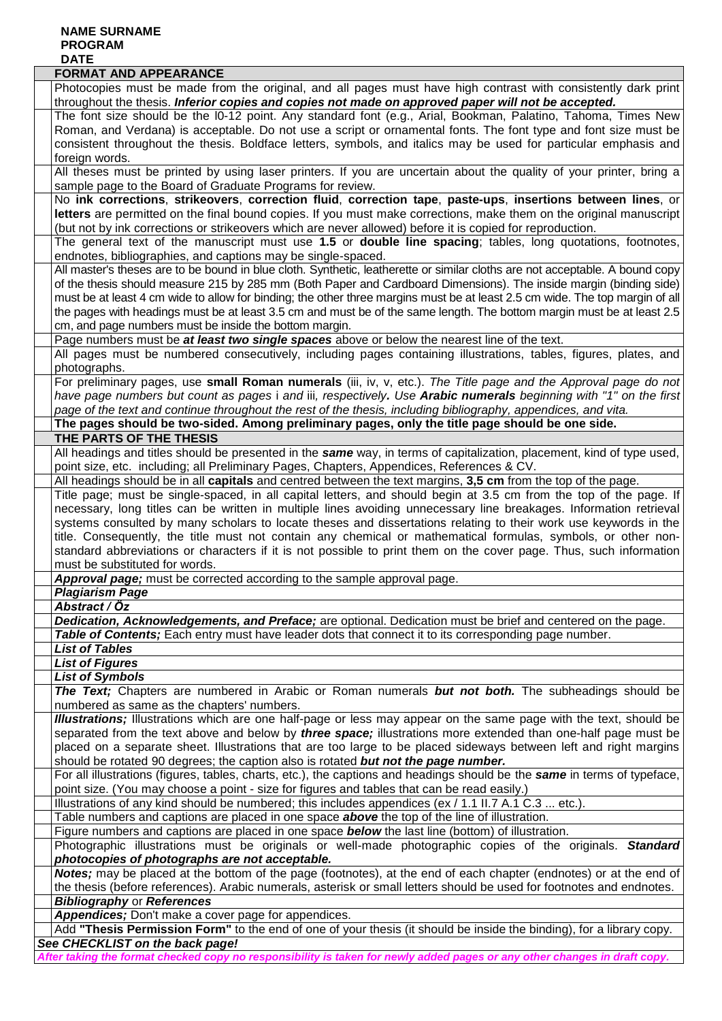## **NAME SURNAME PROGRAM DATE**

| <b>FORMAT AND APPEARANCE</b>                                                                                                                                                                                                                           |
|--------------------------------------------------------------------------------------------------------------------------------------------------------------------------------------------------------------------------------------------------------|
| Photocopies must be made from the original, and all pages must have high contrast with consistently dark print                                                                                                                                         |
| throughout the thesis. Inferior copies and copies not made on approved paper will not be accepted.                                                                                                                                                     |
| The font size should be the I0-12 point. Any standard font (e.g., Arial, Bookman, Palatino, Tahoma, Times New                                                                                                                                          |
| Roman, and Verdana) is acceptable. Do not use a script or ornamental fonts. The font type and font size must be                                                                                                                                        |
| consistent throughout the thesis. Boldface letters, symbols, and italics may be used for particular emphasis and                                                                                                                                       |
| foreign words.                                                                                                                                                                                                                                         |
| All theses must be printed by using laser printers. If you are uncertain about the quality of your printer, bring a                                                                                                                                    |
| sample page to the Board of Graduate Programs for review.                                                                                                                                                                                              |
| No ink corrections, strikeovers, correction fluid, correction tape, paste-ups, insertions between lines, or                                                                                                                                            |
| letters are permitted on the final bound copies. If you must make corrections, make them on the original manuscript                                                                                                                                    |
| (but not by ink corrections or strikeovers which are never allowed) before it is copied for reproduction.                                                                                                                                              |
| The general text of the manuscript must use 1.5 or double line spacing; tables, long quotations, footnotes,                                                                                                                                            |
| endnotes, bibliographies, and captions may be single-spaced.                                                                                                                                                                                           |
| All master's theses are to be bound in blue cloth. Synthetic, leatherette or similar cloths are not acceptable. A bound copy                                                                                                                           |
| of the thesis should measure 215 by 285 mm (Both Paper and Cardboard Dimensions). The inside margin (binding side)                                                                                                                                     |
| must be at least 4 cm wide to allow for binding; the other three margins must be at least 2.5 cm wide. The top margin of all<br>the pages with headings must be at least 3.5 cm and must be of the same length. The bottom margin must be at least 2.5 |
| cm, and page numbers must be inside the bottom margin.                                                                                                                                                                                                 |
| Page numbers must be at least two single spaces above or below the nearest line of the text.                                                                                                                                                           |
| All pages must be numbered consecutively, including pages containing illustrations, tables, figures, plates, and                                                                                                                                       |
| photographs.                                                                                                                                                                                                                                           |
| For preliminary pages, use small Roman numerals (iii, iv, v, etc.). The Title page and the Approval page do not                                                                                                                                        |
| have page numbers but count as pages i and iii, respectively. Use Arabic numerals beginning with "1" on the first                                                                                                                                      |
| page of the text and continue throughout the rest of the thesis, including bibliography, appendices, and vita.                                                                                                                                         |
| The pages should be two-sided. Among preliminary pages, only the title page should be one side.                                                                                                                                                        |
| THE PARTS OF THE THESIS                                                                                                                                                                                                                                |
| All headings and titles should be presented in the same way, in terms of capitalization, placement, kind of type used,                                                                                                                                 |
| point size, etc. including; all Preliminary Pages, Chapters, Appendices, References & CV.                                                                                                                                                              |
| All headings should be in all capitals and centred between the text margins, 3,5 cm from the top of the page.                                                                                                                                          |
| Title page; must be single-spaced, in all capital letters, and should begin at 3.5 cm from the top of the page. If                                                                                                                                     |
| necessary, long titles can be written in multiple lines avoiding unnecessary line breakages. Information retrieval                                                                                                                                     |
| systems consulted by many scholars to locate theses and dissertations relating to their work use keywords in the                                                                                                                                       |
| title. Consequently, the title must not contain any chemical or mathematical formulas, symbols, or other non-                                                                                                                                          |
| standard abbreviations or characters if it is not possible to print them on the cover page. Thus, such information                                                                                                                                     |
| must be substituted for words.                                                                                                                                                                                                                         |
| Approval page; must be corrected according to the sample approval page.<br><b>Plagiarism Page</b>                                                                                                                                                      |
| Abstract / Öz                                                                                                                                                                                                                                          |
| Dedication, Acknowledgements, and Preface; are optional. Dedication must be brief and centered on the page.                                                                                                                                            |
| Table of Contents; Each entry must have leader dots that connect it to its corresponding page number.                                                                                                                                                  |
| <b>List of Tables</b>                                                                                                                                                                                                                                  |
| <b>List of Figures</b>                                                                                                                                                                                                                                 |
| <b>List of Symbols</b>                                                                                                                                                                                                                                 |
| The Text; Chapters are numbered in Arabic or Roman numerals but not both. The subheadings should be                                                                                                                                                    |
| numbered as same as the chapters' numbers.                                                                                                                                                                                                             |
| Illustrations; Illustrations which are one half-page or less may appear on the same page with the text, should be                                                                                                                                      |
| separated from the text above and below by three space; illustrations more extended than one-half page must be                                                                                                                                         |
| placed on a separate sheet. Illustrations that are too large to be placed sideways between left and right margins                                                                                                                                      |
| should be rotated 90 degrees; the caption also is rotated but not the page number.                                                                                                                                                                     |
| For all illustrations (figures, tables, charts, etc.), the captions and headings should be the same in terms of typeface,<br>point size. (You may choose a point - size for figures and tables that can be read easily.)                               |
| Illustrations of any kind should be numbered; this includes appendices (ex / 1.1 II.7 A.1 C.3  etc.).                                                                                                                                                  |
| Table numbers and captions are placed in one space <b>above</b> the top of the line of illustration.                                                                                                                                                   |
| Figure numbers and captions are placed in one space <b>below</b> the last line (bottom) of illustration.                                                                                                                                               |
| Photographic illustrations must be originals or well-made photographic copies of the originals. Standard                                                                                                                                               |
| photocopies of photographs are not acceptable.                                                                                                                                                                                                         |
| Notes; may be placed at the bottom of the page (footnotes), at the end of each chapter (endnotes) or at the end of                                                                                                                                     |
| the thesis (before references). Arabic numerals, asterisk or small letters should be used for footnotes and endnotes.                                                                                                                                  |
| <b>Bibliography or References</b>                                                                                                                                                                                                                      |
| Appendices; Don't make a cover page for appendices.                                                                                                                                                                                                    |
| Add "Thesis Permission Form" to the end of one of your thesis (it should be inside the binding), for a library copy.                                                                                                                                   |
| See CHECKLIST on the back page!                                                                                                                                                                                                                        |
| After taking the format checked copy no responsibility is taken for newly added pages or any other changes in draft copy.                                                                                                                              |